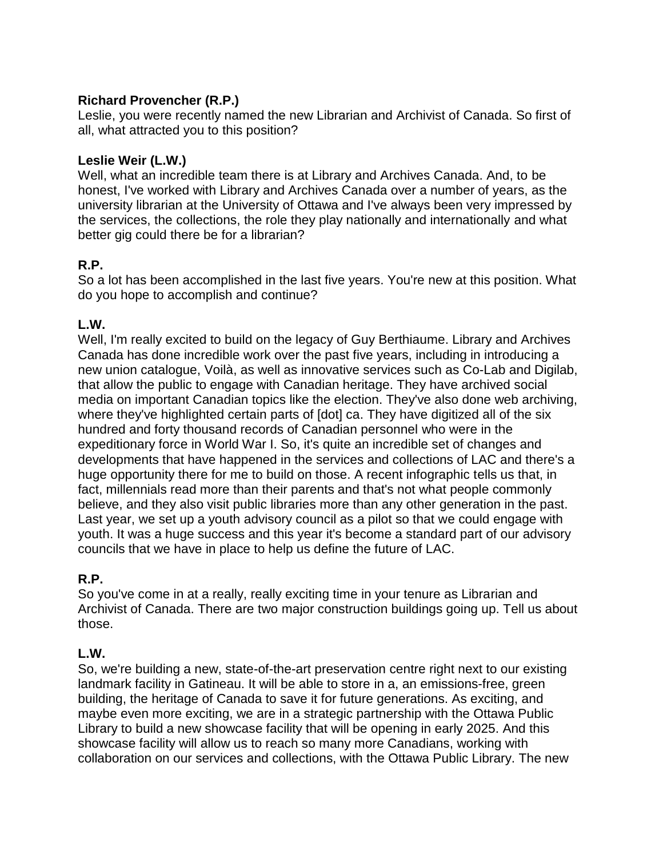# **Richard Provencher (R.P.)**

Leslie, you were recently named the new Librarian and Archivist of Canada. So first of all, what attracted you to this position?

# **Leslie Weir (L.W.)**

Well, what an incredible team there is at Library and Archives Canada. And, to be honest, I've worked with Library and Archives Canada over a number of years, as the university librarian at the University of Ottawa and I've always been very impressed by the services, the collections, the role they play nationally and internationally and what better gig could there be for a librarian?

# **R.P.**

So a lot has been accomplished in the last five years. You're new at this position. What do you hope to accomplish and continue?

# **L.W.**

Well, I'm really excited to build on the legacy of Guy Berthiaume. Library and Archives Canada has done incredible work over the past five years, including in introducing a new union catalogue, Voilà, as well as innovative services such as Co-Lab and Digilab, that allow the public to engage with Canadian heritage. They have archived social media on important Canadian topics like the election. They've also done web archiving, where they've highlighted certain parts of [dot] ca. They have digitized all of the six hundred and forty thousand records of Canadian personnel who were in the expeditionary force in World War I. So, it's quite an incredible set of changes and developments that have happened in the services and collections of LAC and there's a huge opportunity there for me to build on those. A recent infographic tells us that, in fact, millennials read more than their parents and that's not what people commonly believe, and they also visit public libraries more than any other generation in the past. Last year, we set up a youth advisory council as a pilot so that we could engage with youth. It was a huge success and this year it's become a standard part of our advisory councils that we have in place to help us define the future of LAC.

# **R.P.**

So you've come in at a really, really exciting time in your tenure as Librarian and Archivist of Canada. There are two major construction buildings going up. Tell us about those.

#### **L.W.**

So, we're building a new, state-of-the-art preservation centre right next to our existing landmark facility in Gatineau. It will be able to store in a, an emissions-free, green building, the heritage of Canada to save it for future generations. As exciting, and maybe even more exciting, we are in a strategic partnership with the Ottawa Public Library to build a new showcase facility that will be opening in early 2025. And this showcase facility will allow us to reach so many more Canadians, working with collaboration on our services and collections, with the Ottawa Public Library. The new